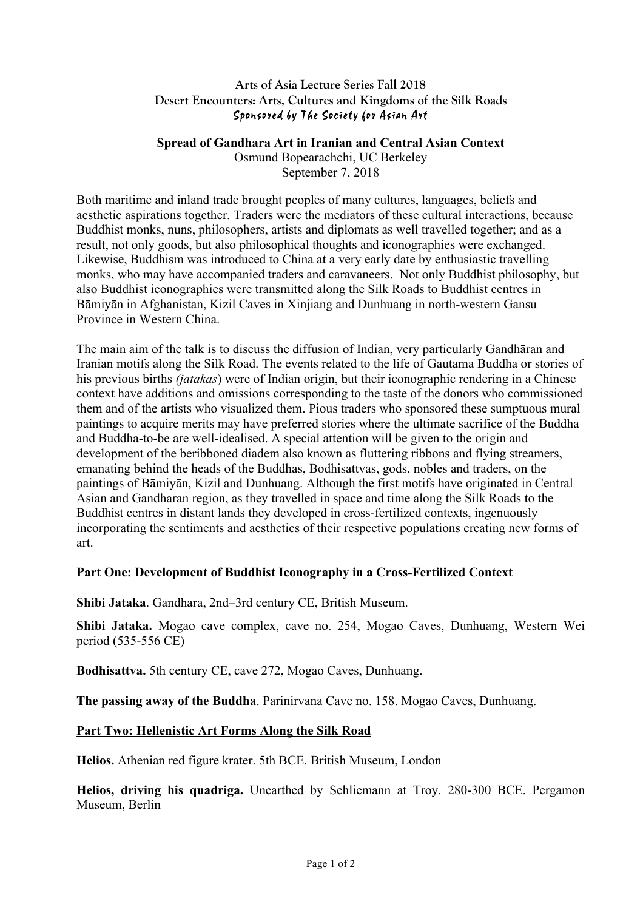### **Arts of Asia Lecture Series Fall 2018 Desert Encounters: Arts, Cultures and Kingdoms of the Silk Roads** Sponsored by The Society for Asian Art

### **Spread of Gandhara Art in Iranian and Central Asian Context**

Osmund Bopearachchi, UC Berkeley September 7, 2018

Both maritime and inland trade brought peoples of many cultures, languages, beliefs and aesthetic aspirations together. Traders were the mediators of these cultural interactions, because Buddhist monks, nuns, philosophers, artists and diplomats as well travelled together; and as a result, not only goods, but also philosophical thoughts and iconographies were exchanged. Likewise, Buddhism was introduced to China at a very early date by enthusiastic travelling monks, who may have accompanied traders and caravaneers. Not only Buddhist philosophy, but also Buddhist iconographies were transmitted along the Silk Roads to Buddhist centres in Bāmiyān in Afghanistan, Kizil Caves in Xinjiang and Dunhuang in north-western Gansu Province in Western China.

The main aim of the talk is to discuss the diffusion of Indian, very particularly Gandhāran and Iranian motifs along the Silk Road. The events related to the life of Gautama Buddha or stories of his previous births *(jatakas*) were of Indian origin, but their iconographic rendering in a Chinese context have additions and omissions corresponding to the taste of the donors who commissioned them and of the artists who visualized them. Pious traders who sponsored these sumptuous mural paintings to acquire merits may have preferred stories where the ultimate sacrifice of the Buddha and Buddha-to-be are well-idealised. A special attention will be given to the origin and development of the beribboned diadem also known as fluttering ribbons and flying streamers, emanating behind the heads of the Buddhas, Bodhisattvas, gods, nobles and traders, on the paintings of Bāmiyān, Kizil and Dunhuang. Although the first motifs have originated in Central Asian and Gandharan region, as they travelled in space and time along the Silk Roads to the Buddhist centres in distant lands they developed in cross-fertilized contexts, ingenuously incorporating the sentiments and aesthetics of their respective populations creating new forms of art.

# **Part One: Development of Buddhist Iconography in a Cross-Fertilized Context**

**Shibi Jataka**. Gandhara, 2nd–3rd century CE, British Museum.

**Shibi Jataka.** Mogao cave complex, cave no. 254, Mogao Caves, Dunhuang, Western Wei period (535-556 CE)

**Bodhisattva.** 5th century CE, cave 272, Mogao Caves, Dunhuang.

**The passing away of the Buddha**. Parinirvana Cave no. 158. Mogao Caves, Dunhuang.

#### **Part Two: Hellenistic Art Forms Along the Silk Road**

**Helios.** Athenian red figure krater. 5th BCE. British Museum, London

**Helios, driving his quadriga.** Unearthed by Schliemann at Troy. 280-300 BCE. Pergamon Museum, Berlin